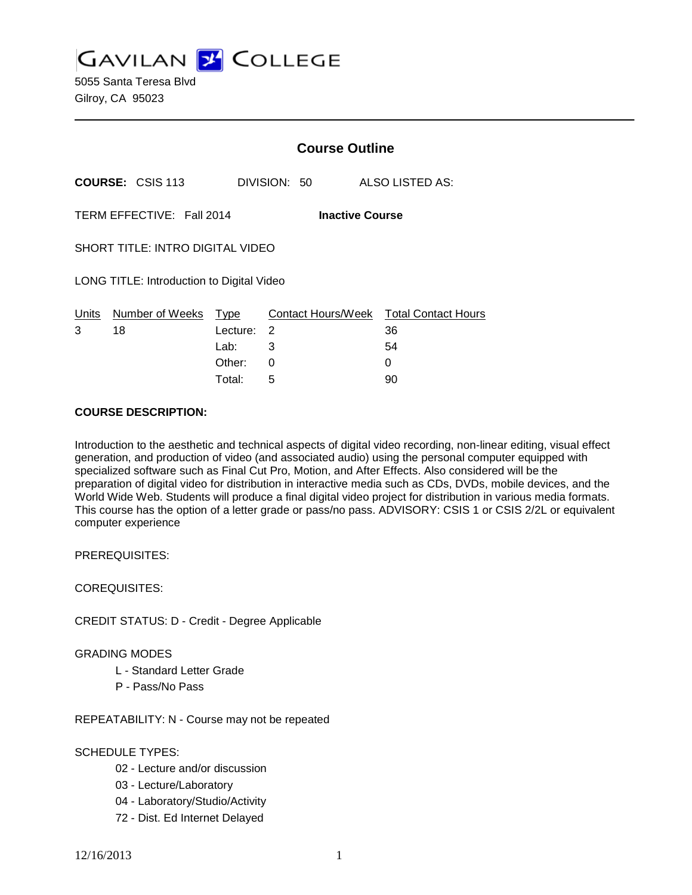**GAVILAN J COLLEGE** 

5055 Santa Teresa Blvd Gilroy, CA 95023

|                                           |                           | <b>Course Outline</b> |                         |  |                                  |  |
|-------------------------------------------|---------------------------|-----------------------|-------------------------|--|----------------------------------|--|
|                                           | <b>COURSE: CSIS 113</b>   |                       | DIVISION: 50            |  | ALSO LISTED AS:                  |  |
|                                           | TERM EFFECTIVE: Fall 2014 |                       | <b>Inactive Course</b>  |  |                                  |  |
| SHORT TITLE: INTRO DIGITAL VIDEO          |                           |                       |                         |  |                                  |  |
| LONG TITLE: Introduction to Digital Video |                           |                       |                         |  |                                  |  |
| Units<br>3                                | Number of Weeks<br>18     | Type<br>Lecture:      | Contact Hours/Week<br>2 |  | <b>Total Contact Hours</b><br>36 |  |
|                                           |                           | Lab:                  | 3                       |  | 54                               |  |
|                                           |                           | Other:                | 0                       |  | 0                                |  |

Total: 5 90

### **COURSE DESCRIPTION:**

Introduction to the aesthetic and technical aspects of digital video recording, non-linear editing, visual effect generation, and production of video (and associated audio) using the personal computer equipped with specialized software such as Final Cut Pro, Motion, and After Effects. Also considered will be the preparation of digital video for distribution in interactive media such as CDs, DVDs, mobile devices, and the World Wide Web. Students will produce a final digital video project for distribution in various media formats. This course has the option of a letter grade or pass/no pass. ADVISORY: CSIS 1 or CSIS 2/2L or equivalent computer experience

PREREQUISITES:

COREQUISITES:

CREDIT STATUS: D - Credit - Degree Applicable

GRADING MODES

- L Standard Letter Grade
- P Pass/No Pass

REPEATABILITY: N - Course may not be repeated

## SCHEDULE TYPES:

- 02 Lecture and/or discussion
- 03 Lecture/Laboratory
- 04 Laboratory/Studio/Activity
- 72 Dist. Ed Internet Delayed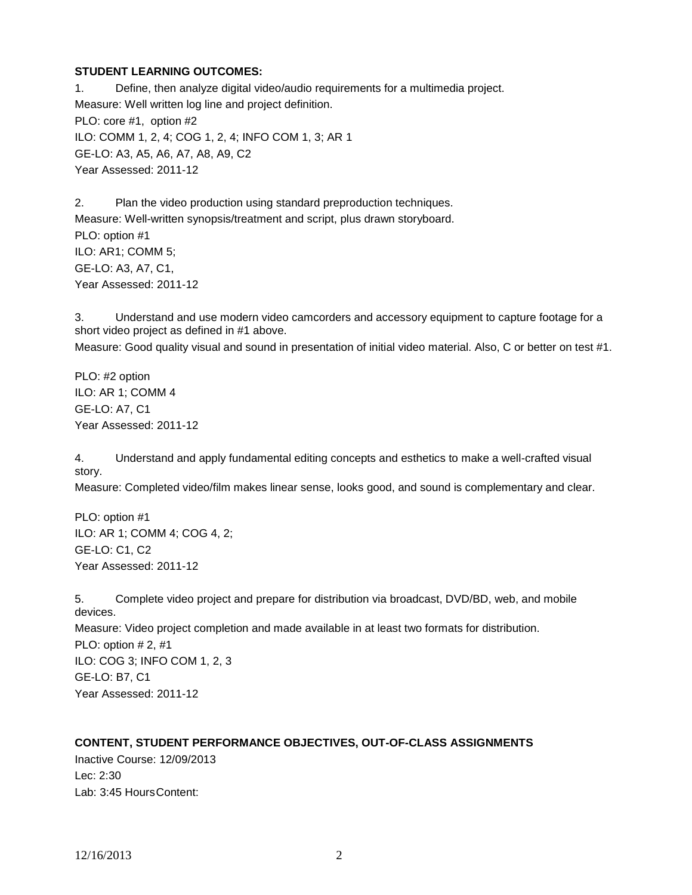### **STUDENT LEARNING OUTCOMES:**

1. Define, then analyze digital video/audio requirements for a multimedia project. Measure: Well written log line and project definition. PLO: core #1, option #2 ILO: COMM 1, 2, 4; COG 1, 2, 4; INFO COM 1, 3; AR 1 GE-LO: A3, A5, A6, A7, A8, A9, C2 Year Assessed: 2011-12

2. Plan the video production using standard preproduction techniques. Measure: Well-written synopsis/treatment and script, plus drawn storyboard. PLO: option #1 ILO: AR1; COMM 5; GE-LO: A3, A7, C1, Year Assessed: 2011-12

3. Understand and use modern video camcorders and accessory equipment to capture footage for a short video project as defined in #1 above. Measure: Good quality visual and sound in presentation of initial video material. Also, C or better on test #1.

PLO: #2 option ILO: AR 1; COMM 4 GE-LO: A7, C1 Year Assessed: 2011-12

4. Understand and apply fundamental editing concepts and esthetics to make a well-crafted visual story.

Measure: Completed video/film makes linear sense, looks good, and sound is complementary and clear.

PLO: option #1 ILO: AR 1; COMM 4; COG 4, 2; GE-LO: C1, C2 Year Assessed: 2011-12

5. Complete video project and prepare for distribution via broadcast, DVD/BD, web, and mobile devices. Measure: Video project completion and made available in at least two formats for distribution. PLO: option # 2, #1 ILO: COG 3; INFO COM 1, 2, 3 GE-LO: B7, C1 Year Assessed: 2011-12

## **CONTENT, STUDENT PERFORMANCE OBJECTIVES, OUT-OF-CLASS ASSIGNMENTS**

Inactive Course: 12/09/2013 Lec: 2:30 Lab: 3:45 HoursContent: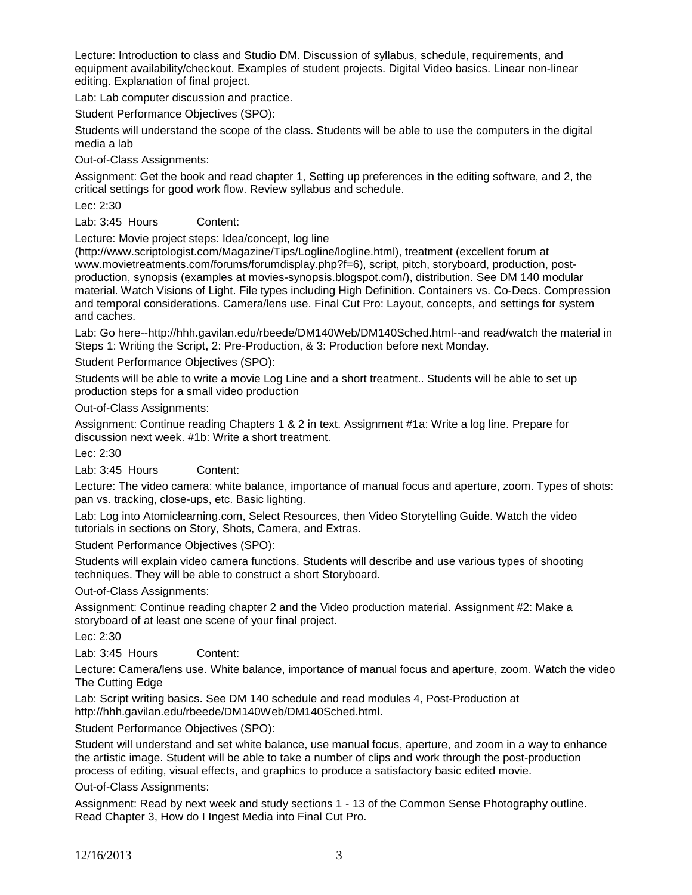Lecture: Introduction to class and Studio DM. Discussion of syllabus, schedule, requirements, and equipment availability/checkout. Examples of student projects. Digital Video basics. Linear non-linear editing. Explanation of final project.

Lab: Lab computer discussion and practice.

Student Performance Objectives (SPO):

Students will understand the scope of the class. Students will be able to use the computers in the digital media a lab

Out-of-Class Assignments:

Assignment: Get the book and read chapter 1, Setting up preferences in the editing software, and 2, the critical settings for good work flow. Review syllabus and schedule.

Lec: 2:30

Lab: 3:45 Hours Content:

Lecture: Movie project steps: Idea/concept, log line

(http://www.scriptologist.com/Magazine/Tips/Logline/logline.html), treatment (excellent forum at www.movietreatments.com/forums/forumdisplay.php?f=6), script, pitch, storyboard, production, postproduction, synopsis (examples at movies-synopsis.blogspot.com/), distribution. See DM 140 modular material. Watch Visions of Light. File types including High Definition. Containers vs. Co-Decs. Compression and temporal considerations. Camera/lens use. Final Cut Pro: Layout, concepts, and settings for system and caches.

Lab: Go here--http://hhh.gavilan.edu/rbeede/DM140Web/DM140Sched.html--and read/watch the material in Steps 1: Writing the Script, 2: Pre-Production, & 3: Production before next Monday.

Student Performance Objectives (SPO):

Students will be able to write a movie Log Line and a short treatment.. Students will be able to set up production steps for a small video production

Out-of-Class Assignments:

Assignment: Continue reading Chapters 1 & 2 in text. Assignment #1a: Write a log line. Prepare for discussion next week. #1b: Write a short treatment.

Lec: 2:30

Lab: 3:45 Hours Content:

Lecture: The video camera: white balance, importance of manual focus and aperture, zoom. Types of shots: pan vs. tracking, close-ups, etc. Basic lighting.

Lab: Log into Atomiclearning.com, Select Resources, then Video Storytelling Guide. Watch the video tutorials in sections on Story, Shots, Camera, and Extras.

Student Performance Objectives (SPO):

Students will explain video camera functions. Students will describe and use various types of shooting techniques. They will be able to construct a short Storyboard.

Out-of-Class Assignments:

Assignment: Continue reading chapter 2 and the Video production material. Assignment #2: Make a storyboard of at least one scene of your final project.

Lec: 2:30

Lab: 3:45 Hours Content:

Lecture: Camera/lens use. White balance, importance of manual focus and aperture, zoom. Watch the video The Cutting Edge

Lab: Script writing basics. See DM 140 schedule and read modules 4, Post-Production at http://hhh.gavilan.edu/rbeede/DM140Web/DM140Sched.html.

Student Performance Objectives (SPO):

Student will understand and set white balance, use manual focus, aperture, and zoom in a way to enhance the artistic image. Student will be able to take a number of clips and work through the post-production process of editing, visual effects, and graphics to produce a satisfactory basic edited movie.

Out-of-Class Assignments:

Assignment: Read by next week and study sections 1 - 13 of the Common Sense Photography outline. Read Chapter 3, How do I Ingest Media into Final Cut Pro.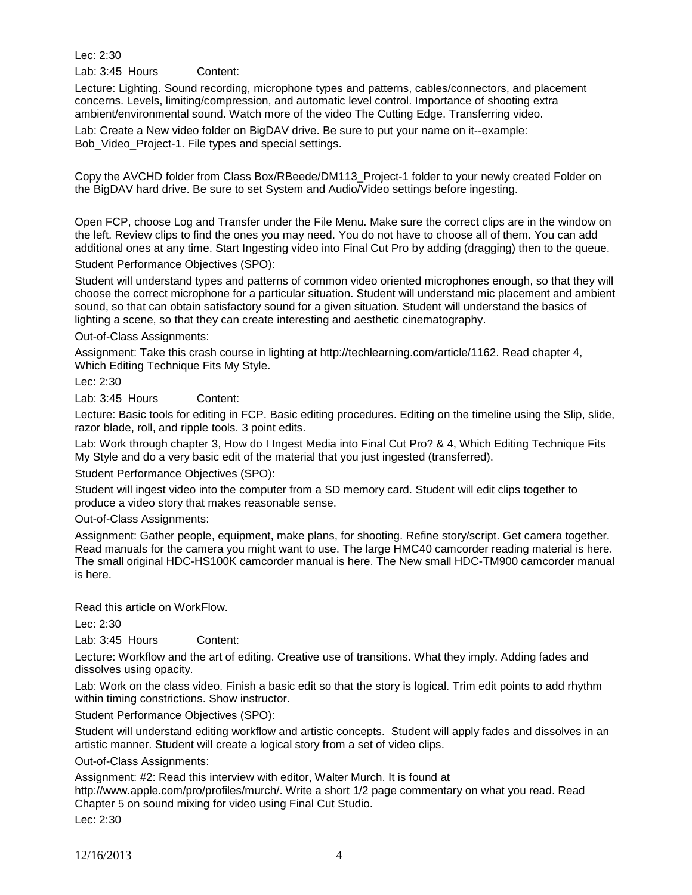Lec: 2:30

Lab: 3:45 Hours Content:

Lecture: Lighting. Sound recording, microphone types and patterns, cables/connectors, and placement concerns. Levels, limiting/compression, and automatic level control. Importance of shooting extra ambient/environmental sound. Watch more of the video The Cutting Edge. Transferring video.

Lab: Create a New video folder on BigDAV drive. Be sure to put your name on it--example: Bob\_Video\_Project-1. File types and special settings.

Copy the AVCHD folder from Class Box/RBeede/DM113\_Project-1 folder to your newly created Folder on the BigDAV hard drive. Be sure to set System and Audio/Video settings before ingesting.

Open FCP, choose Log and Transfer under the File Menu. Make sure the correct clips are in the window on the left. Review clips to find the ones you may need. You do not have to choose all of them. You can add additional ones at any time. Start Ingesting video into Final Cut Pro by adding (dragging) then to the queue.

Student Performance Objectives (SPO):

Student will understand types and patterns of common video oriented microphones enough, so that they will choose the correct microphone for a particular situation. Student will understand mic placement and ambient sound, so that can obtain satisfactory sound for a given situation. Student will understand the basics of lighting a scene, so that they can create interesting and aesthetic cinematography.

Out-of-Class Assignments:

Assignment: Take this crash course in lighting at http://techlearning.com/article/1162. Read chapter 4, Which Editing Technique Fits My Style.

Lec: 2:30

Lab: 3:45 Hours Content:

Lecture: Basic tools for editing in FCP. Basic editing procedures. Editing on the timeline using the Slip, slide, razor blade, roll, and ripple tools. 3 point edits.

Lab: Work through chapter 3, How do I Ingest Media into Final Cut Pro? & 4, Which Editing Technique Fits My Style and do a very basic edit of the material that you just ingested (transferred).

Student Performance Objectives (SPO):

Student will ingest video into the computer from a SD memory card. Student will edit clips together to produce a video story that makes reasonable sense.

Out-of-Class Assignments:

Assignment: Gather people, equipment, make plans, for shooting. Refine story/script. Get camera together. Read manuals for the camera you might want to use. The large HMC40 camcorder reading material is here. The small original HDC-HS100K camcorder manual is here. The New small HDC-TM900 camcorder manual is here.

Read this article on WorkFlow.

Lec: 2:30

Lab: 3:45 Hours Content:

Lecture: Workflow and the art of editing. Creative use of transitions. What they imply. Adding fades and dissolves using opacity.

Lab: Work on the class video. Finish a basic edit so that the story is logical. Trim edit points to add rhythm within timing constrictions. Show instructor.

Student Performance Objectives (SPO):

Student will understand editing workflow and artistic concepts. Student will apply fades and dissolves in an artistic manner. Student will create a logical story from a set of video clips.

Out-of-Class Assignments:

Assignment: #2: Read this interview with editor, Walter Murch. It is found at

http://www.apple.com/pro/profiles/murch/. Write a short 1/2 page commentary on what you read. Read Chapter 5 on sound mixing for video using Final Cut Studio.

Lec: 2:30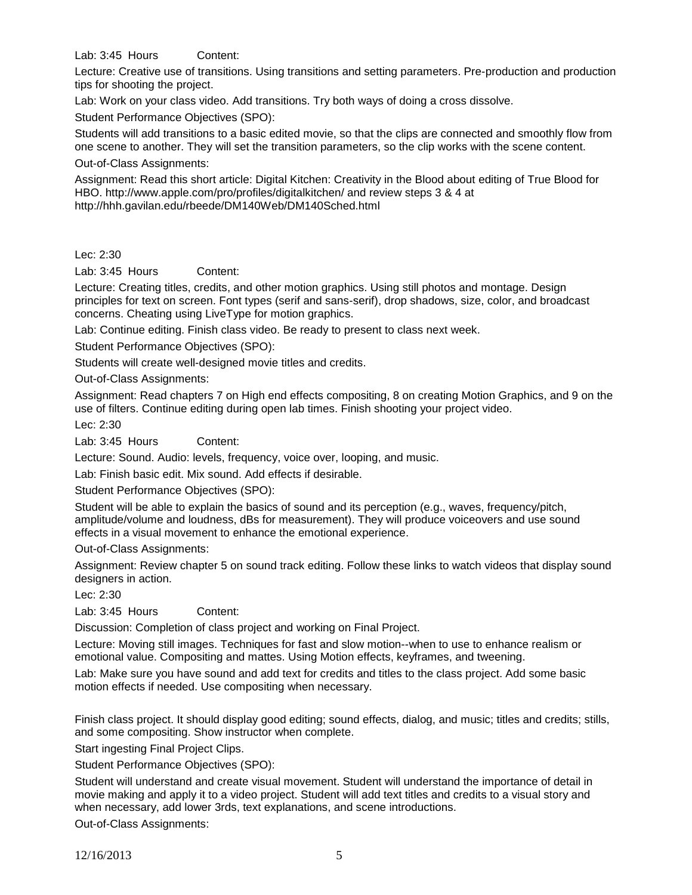Lab: 3:45 Hours Content:

Lecture: Creative use of transitions. Using transitions and setting parameters. Pre-production and production tips for shooting the project.

Lab: Work on your class video. Add transitions. Try both ways of doing a cross dissolve.

Student Performance Objectives (SPO):

Students will add transitions to a basic edited movie, so that the clips are connected and smoothly flow from one scene to another. They will set the transition parameters, so the clip works with the scene content.

Out-of-Class Assignments:

Assignment: Read this short article: Digital Kitchen: Creativity in the Blood about editing of True Blood for HBO. http://www.apple.com/pro/profiles/digitalkitchen/ and review steps 3 & 4 at http://hhh.gavilan.edu/rbeede/DM140Web/DM140Sched.html

### Lec: 2:30

Lab: 3:45 Hours Content:

Lecture: Creating titles, credits, and other motion graphics. Using still photos and montage. Design principles for text on screen. Font types (serif and sans-serif), drop shadows, size, color, and broadcast concerns. Cheating using LiveType for motion graphics.

Lab: Continue editing. Finish class video. Be ready to present to class next week.

Student Performance Objectives (SPO):

Students will create well-designed movie titles and credits.

Out-of-Class Assignments:

Assignment: Read chapters 7 on High end effects compositing, 8 on creating Motion Graphics, and 9 on the use of filters. Continue editing during open lab times. Finish shooting your project video.

Lec: 2:30

Lab: 3:45 Hours Content:

Lecture: Sound. Audio: levels, frequency, voice over, looping, and music.

Lab: Finish basic edit. Mix sound. Add effects if desirable.

Student Performance Objectives (SPO):

Student will be able to explain the basics of sound and its perception (e.g., waves, frequency/pitch, amplitude/volume and loudness, dBs for measurement). They will produce voiceovers and use sound effects in a visual movement to enhance the emotional experience.

Out-of-Class Assignments:

Assignment: Review chapter 5 on sound track editing. Follow these links to watch videos that display sound designers in action.

Lec: 2:30

Lab: 3:45 Hours Content:

Discussion: Completion of class project and working on Final Project.

Lecture: Moving still images. Techniques for fast and slow motion--when to use to enhance realism or emotional value. Compositing and mattes. Using Motion effects, keyframes, and tweening.

Lab: Make sure you have sound and add text for credits and titles to the class project. Add some basic motion effects if needed. Use compositing when necessary.

Finish class project. It should display good editing; sound effects, dialog, and music; titles and credits; stills, and some compositing. Show instructor when complete.

Start ingesting Final Project Clips.

Student Performance Objectives (SPO):

Student will understand and create visual movement. Student will understand the importance of detail in movie making and apply it to a video project. Student will add text titles and credits to a visual story and when necessary, add lower 3rds, text explanations, and scene introductions.

Out-of-Class Assignments: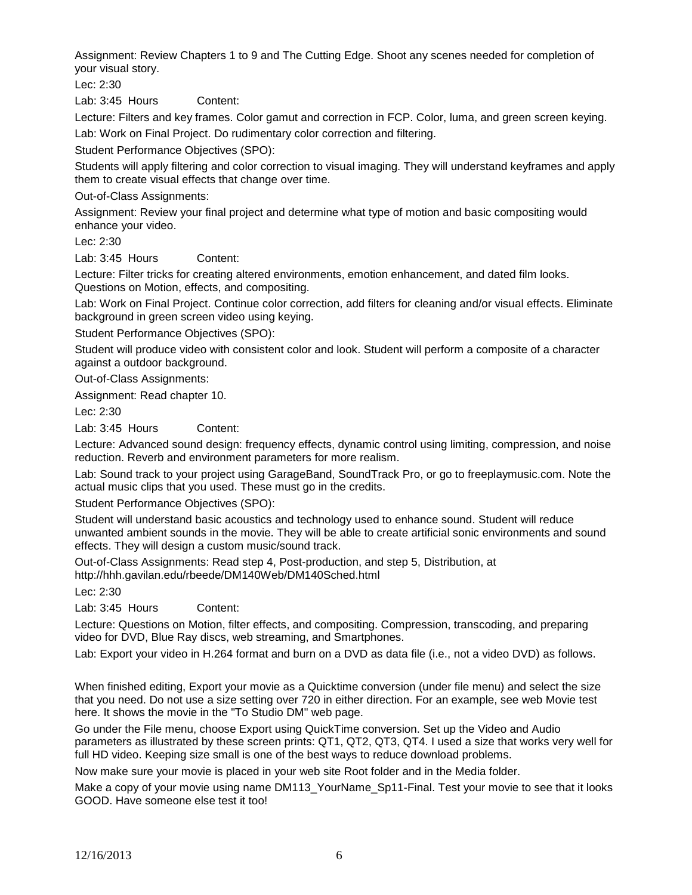Assignment: Review Chapters 1 to 9 and The Cutting Edge. Shoot any scenes needed for completion of your visual story.

Lec: 2:30

Lab: 3:45 Hours Content:

Lecture: Filters and key frames. Color gamut and correction in FCP. Color, luma, and green screen keying.

Lab: Work on Final Project. Do rudimentary color correction and filtering.

Student Performance Objectives (SPO):

Students will apply filtering and color correction to visual imaging. They will understand keyframes and apply them to create visual effects that change over time.

Out-of-Class Assignments:

Assignment: Review your final project and determine what type of motion and basic compositing would enhance your video.

Lec: 2:30

Lab: 3:45 Hours Content:

Lecture: Filter tricks for creating altered environments, emotion enhancement, and dated film looks. Questions on Motion, effects, and compositing.

Lab: Work on Final Project. Continue color correction, add filters for cleaning and/or visual effects. Eliminate background in green screen video using keying.

Student Performance Objectives (SPO):

Student will produce video with consistent color and look. Student will perform a composite of a character against a outdoor background.

Out-of-Class Assignments:

Assignment: Read chapter 10.

Lec: 2:30

Lab: 3:45 Hours Content:

Lecture: Advanced sound design: frequency effects, dynamic control using limiting, compression, and noise reduction. Reverb and environment parameters for more realism.

Lab: Sound track to your project using GarageBand, SoundTrack Pro, or go to freeplaymusic.com. Note the actual music clips that you used. These must go in the credits.

Student Performance Objectives (SPO):

Student will understand basic acoustics and technology used to enhance sound. Student will reduce unwanted ambient sounds in the movie. They will be able to create artificial sonic environments and sound effects. They will design a custom music/sound track.

Out-of-Class Assignments: Read step 4, Post-production, and step 5, Distribution, at http://hhh.gavilan.edu/rbeede/DM140Web/DM140Sched.html

Lec: 2:30

Lab: 3:45 Hours Content:

Lecture: Questions on Motion, filter effects, and compositing. Compression, transcoding, and preparing video for DVD, Blue Ray discs, web streaming, and Smartphones.

Lab: Export your video in H.264 format and burn on a DVD as data file (i.e., not a video DVD) as follows.

When finished editing, Export your movie as a Quicktime conversion (under file menu) and select the size that you need. Do not use a size setting over 720 in either direction. For an example, see web Movie test here. It shows the movie in the "To Studio DM" web page.

Go under the File menu, choose Export using QuickTime conversion. Set up the Video and Audio parameters as illustrated by these screen prints: QT1, QT2, QT3, QT4. I used a size that works very well for full HD video. Keeping size small is one of the best ways to reduce download problems.

Now make sure your movie is placed in your web site Root folder and in the Media folder.

Make a copy of your movie using name DM113 YourName Sp11-Final. Test your movie to see that it looks GOOD. Have someone else test it too!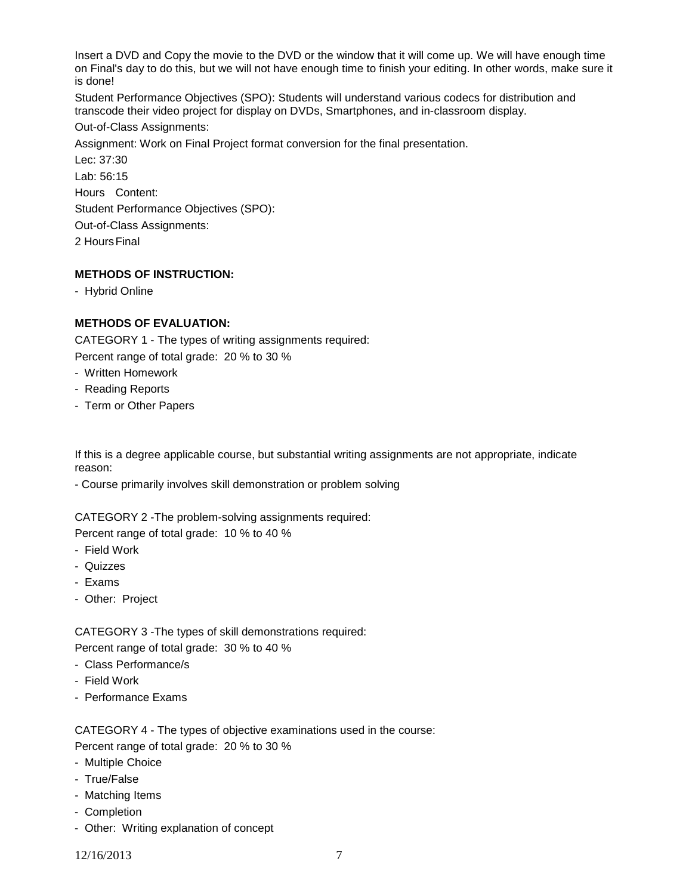Insert a DVD and Copy the movie to the DVD or the window that it will come up. We will have enough time on Final's day to do this, but we will not have enough time to finish your editing. In other words, make sure it is done!

Student Performance Objectives (SPO): Students will understand various codecs for distribution and transcode their video project for display on DVDs, Smartphones, and in-classroom display.

Out-of-Class Assignments:

Assignment: Work on Final Project format conversion for the final presentation.

Lec: 37:30 Lab: 56:15 Hours Content: Student Performance Objectives (SPO): Out-of-Class Assignments:

2 HoursFinal

# **METHODS OF INSTRUCTION:**

- Hybrid Online

# **METHODS OF EVALUATION:**

CATEGORY 1 - The types of writing assignments required:

Percent range of total grade: 20 % to 30 %

- Written Homework
- Reading Reports
- Term or Other Papers

If this is a degree applicable course, but substantial writing assignments are not appropriate, indicate reason:

- Course primarily involves skill demonstration or problem solving

CATEGORY 2 -The problem-solving assignments required:

Percent range of total grade: 10 % to 40 %

- Field Work
- Quizzes
- Exams
- Other: Project

CATEGORY 3 -The types of skill demonstrations required: Percent range of total grade: 30 % to 40 %

- Class Performance/s
- Field Work
- Performance Exams

CATEGORY 4 - The types of objective examinations used in the course: Percent range of total grade: 20 % to 30 %

- Multiple Choice
- True/False
- Matching Items
- Completion
- Other: Writing explanation of concept